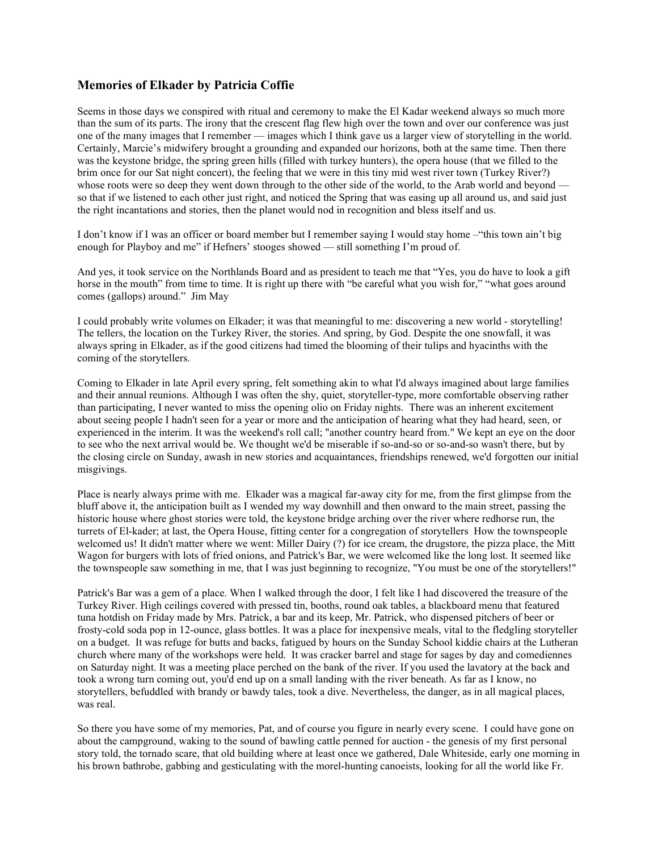## Memories of Elkader by Patricia Coffie

Seems in those days we conspired with ritual and ceremony to make the El Kadar weekend always so much more than the sum of its parts. The irony that the crescent flag flew high over the town and over our conference was just one of the many images that I remember — images which I think gave us a larger view of storytelling in the world. Certainly, Marcie's midwifery brought a grounding and expanded our horizons, both at the same time. Then there was the keystone bridge, the spring green hills (filled with turkey hunters), the opera house (that we filled to the brim once for our Sat night concert), the feeling that we were in this tiny mid west river town (Turkey River?) whose roots were so deep they went down through to the other side of the world, to the Arab world and beyond so that if we listened to each other just right, and noticed the Spring that was easing up all around us, and said just the right incantations and stories, then the planet would nod in recognition and bless itself and us.

I don't know if I was an officer or board member but I remember saying I would stay home –"this town ain't big enough for Playboy and me" if Hefners' stooges showed — still something I'm proud of.

And yes, it took service on the Northlands Board and as president to teach me that "Yes, you do have to look a gift horse in the mouth" from time to time. It is right up there with "be careful what you wish for," "what goes around comes (gallops) around." Jim May

I could probably write volumes on Elkader; it was that meaningful to me: discovering a new world - storytelling! The tellers, the location on the Turkey River, the stories. And spring, by God. Despite the one snowfall, it was always spring in Elkader, as if the good citizens had timed the blooming of their tulips and hyacinths with the coming of the storytellers.

Coming to Elkader in late April every spring, felt something akin to what I'd always imagined about large families and their annual reunions. Although I was often the shy, quiet, storyteller-type, more comfortable observing rather than participating, I never wanted to miss the opening olio on Friday nights. There was an inherent excitement about seeing people I hadn't seen for a year or more and the anticipation of hearing what they had heard, seen, or experienced in the interim. It was the weekend's roll call; "another country heard from." We kept an eye on the door to see who the next arrival would be. We thought we'd be miserable if so-and-so or so-and-so wasn't there, but by the closing circle on Sunday, awash in new stories and acquaintances, friendships renewed, we'd forgotten our initial misgivings.

Place is nearly always prime with me. Elkader was a magical far-away city for me, from the first glimpse from the bluff above it, the anticipation built as I wended my way downhill and then onward to the main street, passing the historic house where ghost stories were told, the keystone bridge arching over the river where redhorse run, the turrets of El-kader; at last, the Opera House, fitting center for a congregation of storytellers How the townspeople welcomed us! It didn't matter where we went: Miller Dairy (?) for ice cream, the drugstore, the pizza place, the Mitt Wagon for burgers with lots of fried onions, and Patrick's Bar, we were welcomed like the long lost. It seemed like the townspeople saw something in me, that I was just beginning to recognize, "You must be one of the storytellers!"

Patrick's Bar was a gem of a place. When I walked through the door, I felt like I had discovered the treasure of the Turkey River. High ceilings covered with pressed tin, booths, round oak tables, a blackboard menu that featured tuna hotdish on Friday made by Mrs. Patrick, a bar and its keep, Mr. Patrick, who dispensed pitchers of beer or frosty-cold soda pop in 12-ounce, glass bottles. It was a place for inexpensive meals, vital to the fledgling storyteller on a budget. It was refuge for butts and backs, fatigued by hours on the Sunday School kiddie chairs at the Lutheran church where many of the workshops were held. It was cracker barrel and stage for sages by day and comediennes on Saturday night. It was a meeting place perched on the bank of the river. If you used the lavatory at the back and took a wrong turn coming out, you'd end up on a small landing with the river beneath. As far as I know, no storytellers, befuddled with brandy or bawdy tales, took a dive. Nevertheless, the danger, as in all magical places, was real.

So there you have some of my memories, Pat, and of course you figure in nearly every scene. I could have gone on about the campground, waking to the sound of bawling cattle penned for auction - the genesis of my first personal story told, the tornado scare, that old building where at least once we gathered, Dale Whiteside, early one morning in his brown bathrobe, gabbing and gesticulating with the morel-hunting canoeists, looking for all the world like Fr.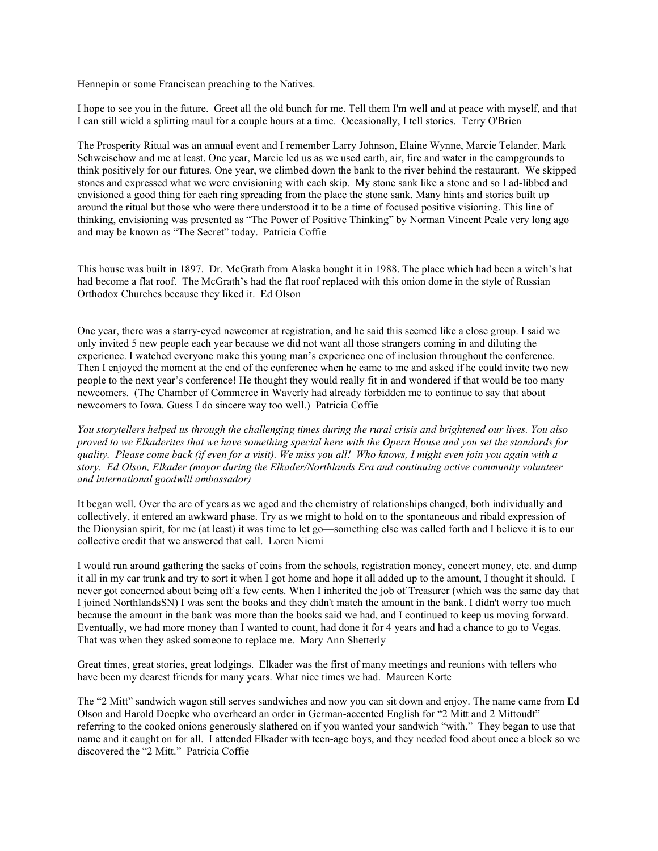Hennepin or some Franciscan preaching to the Natives.

I hope to see you in the future. Greet all the old bunch for me. Tell them I'm well and at peace with myself, and that I can still wield a splitting maul for a couple hours at a time. Occasionally, I tell stories. Terry O'Brien

The Prosperity Ritual was an annual event and I remember Larry Johnson, Elaine Wynne, Marcie Telander, Mark Schweischow and me at least. One year, Marcie led us as we used earth, air, fire and water in the campgrounds to think positively for our futures. One year, we climbed down the bank to the river behind the restaurant. We skipped stones and expressed what we were envisioning with each skip. My stone sank like a stone and so I ad-libbed and envisioned a good thing for each ring spreading from the place the stone sank. Many hints and stories built up around the ritual but those who were there understood it to be a time of focused positive visioning. This line of thinking, envisioning was presented as "The Power of Positive Thinking" by Norman Vincent Peale very long ago and may be known as "The Secret" today. Patricia Coffie

This house was built in 1897. Dr. McGrath from Alaska bought it in 1988. The place which had been a witch's hat had become a flat roof. The McGrath's had the flat roof replaced with this onion dome in the style of Russian Orthodox Churches because they liked it. Ed Olson

One year, there was a starry-eyed newcomer at registration, and he said this seemed like a close group. I said we only invited 5 new people each year because we did not want all those strangers coming in and diluting the experience. I watched everyone make this young man's experience one of inclusion throughout the conference. Then I enjoyed the moment at the end of the conference when he came to me and asked if he could invite two new people to the next year's conference! He thought they would really fit in and wondered if that would be too many newcomers. (The Chamber of Commerce in Waverly had already forbidden me to continue to say that about newcomers to Iowa. Guess I do sincere way too well.) Patricia Coffie

You storytellers helped us through the challenging times during the rural crisis and brightened our lives. You also proved to we Elkaderites that we have something special here with the Opera House and you set the standards for quality. Please come back (if even for a visit). We miss you all! Who knows, I might even join you again with a story. Ed Olson, Elkader (mayor during the Elkader/Northlands Era and continuing active community volunteer and international goodwill ambassador)

It began well. Over the arc of years as we aged and the chemistry of relationships changed, both individually and collectively, it entered an awkward phase. Try as we might to hold on to the spontaneous and ribald expression of the Dionysian spirit, for me (at least) it was time to let go—something else was called forth and I believe it is to our collective credit that we answered that call. Loren Niemi

I would run around gathering the sacks of coins from the schools, registration money, concert money, etc. and dump it all in my car trunk and try to sort it when I got home and hope it all added up to the amount, I thought it should. I never got concerned about being off a few cents. When I inherited the job of Treasurer (which was the same day that I joined NorthlandsSN) I was sent the books and they didn't match the amount in the bank. I didn't worry too much because the amount in the bank was more than the books said we had, and I continued to keep us moving forward. Eventually, we had more money than I wanted to count, had done it for 4 years and had a chance to go to Vegas. That was when they asked someone to replace me. Mary Ann Shetterly

Great times, great stories, great lodgings. Elkader was the first of many meetings and reunions with tellers who have been my dearest friends for many years. What nice times we had. Maureen Korte

The "2 Mitt" sandwich wagon still serves sandwiches and now you can sit down and enjoy. The name came from Ed Olson and Harold Doepke who overheard an order in German-accented English for "2 Mitt and 2 Mittoudt" referring to the cooked onions generously slathered on if you wanted your sandwich "with." They began to use that name and it caught on for all. I attended Elkader with teen-age boys, and they needed food about once a block so we discovered the "2 Mitt." Patricia Coffie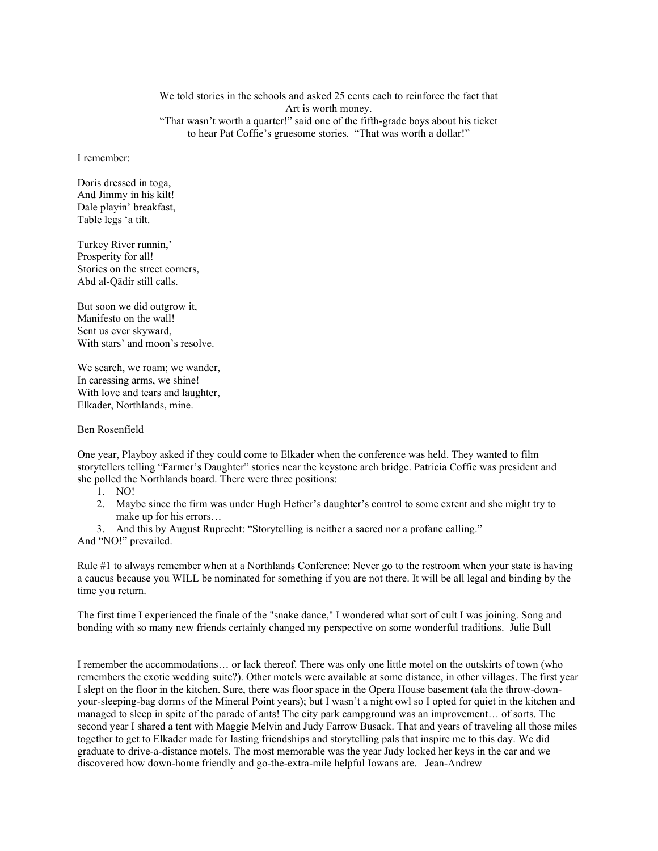We told stories in the schools and asked 25 cents each to reinforce the fact that Art is worth money. "That wasn't worth a quarter!" said one of the fifth-grade boys about his ticket to hear Pat Coffie's gruesome stories. "That was worth a dollar!"

I remember:

Doris dressed in toga, And Jimmy in his kilt! Dale playin' breakfast, Table legs 'a tilt.

Turkey River runnin,' Prosperity for all! Stories on the street corners, Abd al-Qādir still calls.

But soon we did outgrow it, Manifesto on the wall! Sent us ever skyward, With stars' and moon's resolve.

We search, we roam; we wander, In caressing arms, we shine! With love and tears and laughter, Elkader, Northlands, mine.

Ben Rosenfield

One year, Playboy asked if they could come to Elkader when the conference was held. They wanted to film storytellers telling "Farmer's Daughter" stories near the keystone arch bridge. Patricia Coffie was president and she polled the Northlands board. There were three positions:

- 1. NO!
- 2. Maybe since the firm was under Hugh Hefner's daughter's control to some extent and she might try to make up for his errors…
- 3. And this by August Ruprecht: "Storytelling is neither a sacred nor a profane calling."

And "NO!" prevailed.

Rule #1 to always remember when at a Northlands Conference: Never go to the restroom when your state is having a caucus because you WILL be nominated for something if you are not there. It will be all legal and binding by the time you return.

The first time I experienced the finale of the "snake dance," I wondered what sort of cult I was joining. Song and bonding with so many new friends certainly changed my perspective on some wonderful traditions. Julie Bull

I remember the accommodations… or lack thereof. There was only one little motel on the outskirts of town (who remembers the exotic wedding suite?). Other motels were available at some distance, in other villages. The first year I slept on the floor in the kitchen. Sure, there was floor space in the Opera House basement (ala the throw-downyour-sleeping-bag dorms of the Mineral Point years); but I wasn't a night owl so I opted for quiet in the kitchen and managed to sleep in spite of the parade of ants! The city park campground was an improvement… of sorts. The second year I shared a tent with Maggie Melvin and Judy Farrow Busack. That and years of traveling all those miles together to get to Elkader made for lasting friendships and storytelling pals that inspire me to this day. We did graduate to drive-a-distance motels. The most memorable was the year Judy locked her keys in the car and we discovered how down-home friendly and go-the-extra-mile helpful Iowans are. Jean-Andrew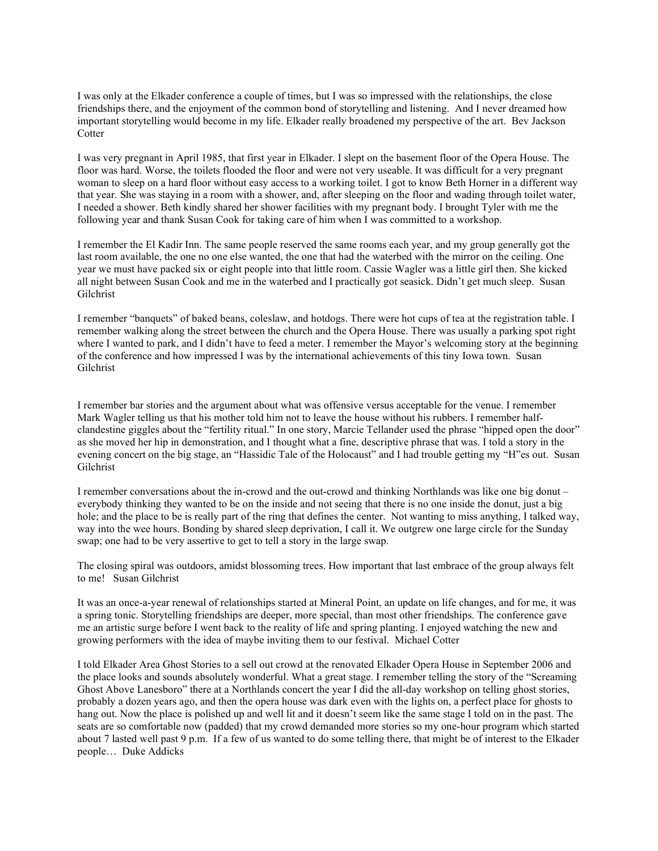I was only at the Elkader conference a couple of times, but I was so impressed with the relationships, the close friendships there, and the enjoyment of the common bond of storytelling and listening. And I never dreamed how important storytelling would become in my life. Elkader really broadened my perspective of the art. Bev Jackson **Cotter** 

I was very pregnant in April 1985, that first year in Elkader. I slept on the basement floor of the Opera House. The floor was hard. Worse, the toilets flooded the floor and were not very useable. It was difficult for a very pregnant woman to sleep on a hard floor without easy access to a working toilet. I got to know Beth Horner in a different way that year. She was staying in a room with a shower, and, after sleeping on the floor and wading through toilet water, I needed a shower. Beth kindly shared her shower facilities with my pregnant body. I brought Tyler with me the following year and thank Susan Cook for taking care of him when I was committed to a workshop.

I remember the El Kadir Inn. The same people reserved the same rooms each year, and my group generally got the last room available, the one no one else wanted, the one that had the waterbed with the mirror on the ceiling. One year we must have packed six or eight people into that little room. Cassie Wagler was a little girl then. She kicked all night between Susan Cook and me in the waterbed and I practically got seasick. Didn't get much sleep. Susan Gilchrist

I remember "banquets" of baked beans, coleslaw, and hotdogs. There were hot cups of tea at the registration table. I remember walking along the street between the church and the Opera House. There was usually a parking spot right where I wanted to park, and I didn't have to feed a meter. I remember the Mayor's welcoming story at the beginning of the conference and how impressed I was by the international achievements of this tiny Iowa town. Susan Gilchrist

I remember bar stories and the argument about what was offensive versus acceptable for the venue. I remember Mark Wagler telling us that his mother told him not to leave the house without his rubbers. I remember halfclandestine giggles about the "fertility ritual." In one story, Marcie Tellander used the phrase "hipped open the door" as she moved her hip in demonstration, and I thought what a fine, descriptive phrase that was. I told a story in the evening concert on the big stage, an "Hassidic Tale of the Holocaust" and I had trouble getting my "H"es out. Susan Gilchrist

I remember conversations about the in-crowd and the out-crowd and thinking Northlands was like one big donut – everybody thinking they wanted to be on the inside and not seeing that there is no one inside the donut, just a big hole; and the place to be is really part of the ring that defines the center. Not wanting to miss anything, I talked way, way into the wee hours. Bonding by shared sleep deprivation, I call it. We outgrew one large circle for the Sunday swap; one had to be very assertive to get to tell a story in the large swap.

The closing spiral was outdoors, amidst blossoming trees. How important that last embrace of the group always felt to me! Susan Gilchrist

It was an once-a-year renewal of relationships started at Mineral Point, an update on life changes, and for me, it was a spring tonic. Storytelling friendships are deeper, more special, than most other friendships. The conference gave me an artistic surge before I went back to the reality of life and spring planting. I enjoyed watching the new and growing performers with the idea of maybe inviting them to our festival. Michael Cotter

I told Elkader Area Ghost Stories to a sell out crowd at the renovated Elkader Opera House in September 2006 and the place looks and sounds absolutely wonderful. What a great stage. I remember telling the story of the "Screaming Ghost Above Lanesboro" there at a Northlands concert the year I did the all-day workshop on telling ghost stories, probably a dozen years ago, and then the opera house was dark even with the lights on, a perfect place for ghosts to hang out. Now the place is polished up and well lit and it doesn't seem like the same stage I told on in the past. The seats are so comfortable now (padded) that my crowd demanded more stories so my one-hour program which started about 7 lasted well past 9 p.m. If a few of us wanted to do some telling there, that might be of interest to the Elkader people… Duke Addicks